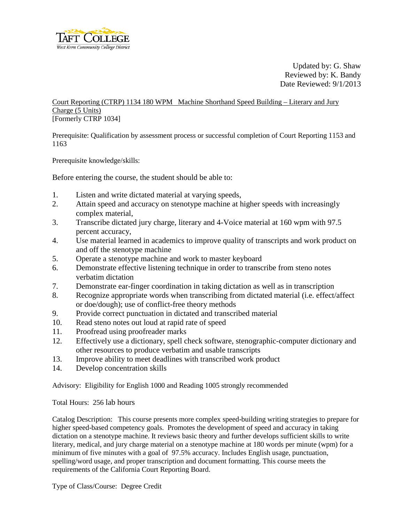

Updated by: G. Shaw Reviewed by: K. Bandy Date Reviewed: 9/1/2013

Court Reporting (CTRP) 1134 180 WPM Machine Shorthand Speed Building – Literary and Jury Charge (5 Units) [Formerly CTRP 1034]

Prerequisite: Qualification by assessment process or successful completion of Court Reporting 1153 and 1163

Prerequisite knowledge/skills:

Before entering the course, the student should be able to:

- 1. Listen and write dictated material at varying speeds,
- 2. Attain speed and accuracy on stenotype machine at higher speeds with increasingly complex material,
- 3. Transcribe dictated jury charge, literary and 4-Voice material at 160 wpm with 97.5 percent accuracy,
- 4. Use material learned in academics to improve quality of transcripts and work product on and off the stenotype machine
- 5. Operate a stenotype machine and work to master keyboard
- 6. Demonstrate effective listening technique in order to transcribe from steno notes verbatim dictation
- 7. Demonstrate ear-finger coordination in taking dictation as well as in transcription
- 8. Recognize appropriate words when transcribing from dictated material (i.e. effect/affect or doe/dough); use of conflict-free theory methods
- 9. Provide correct punctuation in dictated and transcribed material
- 10. Read steno notes out loud at rapid rate of speed
- 11. Proofread using proofreader marks
- 12. Effectively use a dictionary, spell check software, stenographic-computer dictionary and other resources to produce verbatim and usable transcripts
- 13. Improve ability to meet deadlines with transcribed work product
- 14. Develop concentration skills

Advisory: Eligibility for English 1000 and Reading 1005 strongly recommended

Total Hours: 256 lab hours

Catalog Description: This course presents more complex speed-building writing strategies to prepare for higher speed-based competency goals. Promotes the development of speed and accuracy in taking dictation on a stenotype machine. It reviews basic theory and further develops sufficient skills to write literary, medical, and jury charge material on a stenotype machine at 180 words per minute (wpm) for a minimum of five minutes with a goal of 97.5% accuracy. Includes English usage, punctuation, spelling/word usage, and proper transcription and document formatting. This course meets the requirements of the California Court Reporting Board.

Type of Class/Course: Degree Credit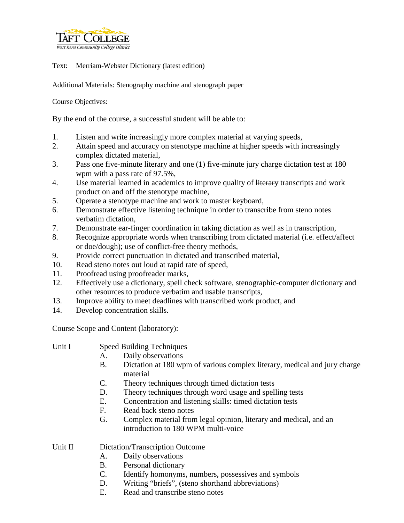

Text: Merriam-Webster Dictionary (latest edition)

Additional Materials: Stenography machine and stenograph paper

Course Objectives:

By the end of the course, a successful student will be able to:

- 1. Listen and write increasingly more complex material at varying speeds,
- 2. Attain speed and accuracy on stenotype machine at higher speeds with increasingly complex dictated material,
- 3. Pass one five-minute literary and one (1) five-minute jury charge dictation test at 180 wpm with a pass rate of 97.5%,
- 4. Use material learned in academics to improve quality of literary transcripts and work product on and off the stenotype machine,
- 5. Operate a stenotype machine and work to master keyboard,
- 6. Demonstrate effective listening technique in order to transcribe from steno notes verbatim dictation,
- 7. Demonstrate ear-finger coordination in taking dictation as well as in transcription,
- 8. Recognize appropriate words when transcribing from dictated material (i.e. effect/affect or doe/dough); use of conflict-free theory methods,
- 9. Provide correct punctuation in dictated and transcribed material,
- 10. Read steno notes out loud at rapid rate of speed,
- 11. Proofread using proofreader marks,
- 12. Effectively use a dictionary, spell check software, stenographic-computer dictionary and other resources to produce verbatim and usable transcripts,
- 13. Improve ability to meet deadlines with transcribed work product, and
- 14. Develop concentration skills.

Course Scope and Content (laboratory):

- Unit I Speed Building Techniques
	- A. Daily observations
	- B. Dictation at 180 wpm of various complex literary, medical and jury charge material
	- C. Theory techniques through timed dictation tests
	- D. Theory techniques through word usage and spelling tests
	- E. Concentration and listening skills: timed dictation tests
	- F. Read back steno notes
	- G. Complex material from legal opinion, literary and medical, and an introduction to 180 WPM multi-voice

Unit II Dictation/Transcription Outcome

- A. Daily observations
- B. Personal dictionary
- C. Identify homonyms, numbers, possessives and symbols
- D. Writing "briefs", (steno shorthand abbreviations)
- E. Read and transcribe steno notes